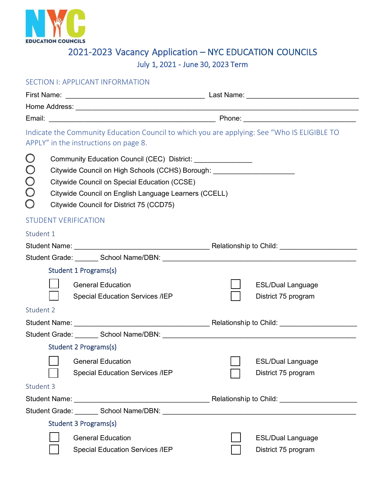

# 2021-2023 Vacancy Application – NYC EDUCATION COUNCILS July 1, 2021 - June 30, 2023 Term

|                                                           | <b>SECTION I: APPLICANT INFORMATION</b>                                                                                                                                                                                                                                                                      |  |                          |  |  |
|-----------------------------------------------------------|--------------------------------------------------------------------------------------------------------------------------------------------------------------------------------------------------------------------------------------------------------------------------------------------------------------|--|--------------------------|--|--|
|                                                           |                                                                                                                                                                                                                                                                                                              |  |                          |  |  |
|                                                           |                                                                                                                                                                                                                                                                                                              |  |                          |  |  |
|                                                           |                                                                                                                                                                                                                                                                                                              |  |                          |  |  |
|                                                           | Indicate the Community Education Council to which you are applying: See "Who IS ELIGIBLE TO<br>APPLY" in the instructions on page 8.                                                                                                                                                                         |  |                          |  |  |
| $\bigcirc$<br>$\bigcirc$<br>$\bigcirc$<br>$\bigcirc$<br>O | Community Education Council (CEC) District: ________________<br>Citywide Council on High Schools (CCHS) Borough: _______________________________<br><b>Citywide Council on Special Education (CCSE)</b><br>Citywide Council on English Language Learners (CCELL)<br>Citywide Council for District 75 (CCD75) |  |                          |  |  |
|                                                           | <b>STUDENT VERIFICATION</b>                                                                                                                                                                                                                                                                                  |  |                          |  |  |
| Student 1                                                 |                                                                                                                                                                                                                                                                                                              |  |                          |  |  |
|                                                           |                                                                                                                                                                                                                                                                                                              |  |                          |  |  |
|                                                           | Student Grade: School Name/DBN: Student Crame Containers and Creation of Student Grade:                                                                                                                                                                                                                      |  |                          |  |  |
|                                                           | <b>Student 1 Programs(s)</b>                                                                                                                                                                                                                                                                                 |  |                          |  |  |
|                                                           | <b>General Education</b>                                                                                                                                                                                                                                                                                     |  | <b>ESL/Dual Language</b> |  |  |
|                                                           | <b>Special Education Services /IEP</b>                                                                                                                                                                                                                                                                       |  | District 75 program      |  |  |
| Student 2                                                 |                                                                                                                                                                                                                                                                                                              |  |                          |  |  |
|                                                           |                                                                                                                                                                                                                                                                                                              |  |                          |  |  |
|                                                           | Student Grade: School Name/DBN: Student Crack Crack Crack Crack Crack Crack Crack Crack Crack Crack Crack Crack                                                                                                                                                                                              |  |                          |  |  |
|                                                           | Student 2 Programs(s)                                                                                                                                                                                                                                                                                        |  |                          |  |  |
|                                                           | General Education                                                                                                                                                                                                                                                                                            |  | <b>ESL/Dual Language</b> |  |  |
|                                                           | <b>Special Education Services /IEP</b>                                                                                                                                                                                                                                                                       |  | District 75 program      |  |  |
| Student 3                                                 |                                                                                                                                                                                                                                                                                                              |  |                          |  |  |
|                                                           |                                                                                                                                                                                                                                                                                                              |  |                          |  |  |
|                                                           | Student Grade: School Name/DBN: Name_NEXTERED AND THE STATE SCHOOL NAME/DBN:                                                                                                                                                                                                                                 |  |                          |  |  |
|                                                           | <b>Student 3 Programs(s)</b>                                                                                                                                                                                                                                                                                 |  |                          |  |  |
|                                                           | <b>General Education</b>                                                                                                                                                                                                                                                                                     |  | <b>ESL/Dual Language</b> |  |  |
|                                                           | <b>Special Education Services /IEP</b>                                                                                                                                                                                                                                                                       |  | District 75 program      |  |  |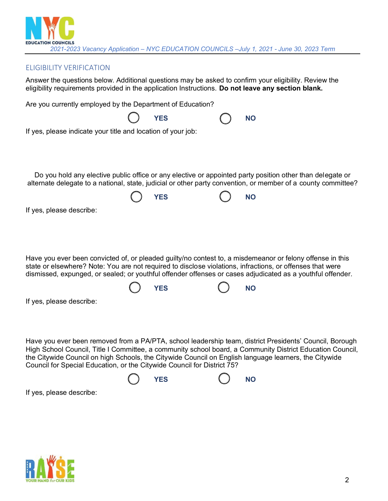

## ELIGIBILITY VERIFICATION

Answer the questions below. Additional questions may be asked to confirm your eligibility. Review the eligibility requirements provided in the application Instructions. **Do not leave any section blank.**

| <b>NO</b>                                                                                                                                                                                                                                                                                                                            |
|--------------------------------------------------------------------------------------------------------------------------------------------------------------------------------------------------------------------------------------------------------------------------------------------------------------------------------------|
|                                                                                                                                                                                                                                                                                                                                      |
|                                                                                                                                                                                                                                                                                                                                      |
| Do you hold any elective public office or any elective or appointed party position other than delegate or<br>alternate delegate to a national, state, judicial or other party convention, or member of a county committee?                                                                                                           |
| <b>NO</b>                                                                                                                                                                                                                                                                                                                            |
|                                                                                                                                                                                                                                                                                                                                      |
|                                                                                                                                                                                                                                                                                                                                      |
|                                                                                                                                                                                                                                                                                                                                      |
| Have you ever been convicted of, or pleaded guilty/no contest to, a misdemeanor or felony offense in this<br>state or elsewhere? Note: You are not required to disclose violations, infractions, or offenses that were<br>dismissed, expunged, or sealed; or youthful offender offenses or cases adjudicated as a youthful offender. |
| <b>NO</b>                                                                                                                                                                                                                                                                                                                            |
|                                                                                                                                                                                                                                                                                                                                      |
|                                                                                                                                                                                                                                                                                                                                      |
| Have you ever been removed from a PA/PTA, school leadership team, district Presidents' Council, Borough                                                                                                                                                                                                                              |
| Are you currently employed by the Department of Education?                                                                                                                                                                                                                                                                           |

High School Council, Title I Committee, a community school board, a Community District Education Council, the Citywide Council on high Schools, the Citywide Council on English language learners, the Citywide Council for Special Education, or the Citywide Council for District 75?



If yes, please describe:

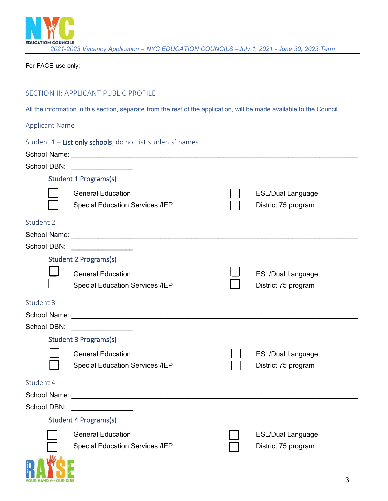

For FACE use only:

# SECTION II: APPLICANT PUBLIC PROFILE

All the information in this section, separate from the rest of the application, will be made available to the Council.

Applicant Name

'n

| Student 1 - List only schools; do not list students' names               |                                         |  |                          |  |  |  |
|--------------------------------------------------------------------------|-----------------------------------------|--|--------------------------|--|--|--|
|                                                                          |                                         |  |                          |  |  |  |
| School DBN:                                                              |                                         |  |                          |  |  |  |
|                                                                          | Student 1 Programs(s)                   |  |                          |  |  |  |
|                                                                          | <b>General Education</b>                |  | <b>ESL/Dual Language</b> |  |  |  |
|                                                                          | <b>Special Education Services /IEP</b>  |  | District 75 program      |  |  |  |
| Student 2                                                                |                                         |  |                          |  |  |  |
|                                                                          |                                         |  |                          |  |  |  |
| School DBN:                                                              | <u> 1990 - Johann Barbara, martin a</u> |  |                          |  |  |  |
|                                                                          | <b>Student 2 Programs(s)</b>            |  |                          |  |  |  |
|                                                                          | <b>General Education</b>                |  | <b>ESL/Dual Language</b> |  |  |  |
|                                                                          | <b>Special Education Services /IEP</b>  |  | District 75 program      |  |  |  |
| Student 3                                                                |                                         |  |                          |  |  |  |
|                                                                          |                                         |  |                          |  |  |  |
| School DBN:                                                              |                                         |  |                          |  |  |  |
|                                                                          | <b>Student 3 Programs(s)</b>            |  |                          |  |  |  |
|                                                                          | <b>General Education</b>                |  | <b>ESL/Dual Language</b> |  |  |  |
|                                                                          | <b>Special Education Services /IEP</b>  |  | District 75 program      |  |  |  |
| Student 4                                                                |                                         |  |                          |  |  |  |
|                                                                          |                                         |  |                          |  |  |  |
| School DBN:<br><u> 1989 - Andrea Station Books, amerikansk politik (</u> |                                         |  |                          |  |  |  |
| <b>Student 4 Programs(s)</b>                                             |                                         |  |                          |  |  |  |
|                                                                          | <b>General Education</b>                |  | <b>ESL/Dual Language</b> |  |  |  |
|                                                                          | <b>Special Education Services /IEP</b>  |  | District 75 program      |  |  |  |
|                                                                          |                                         |  |                          |  |  |  |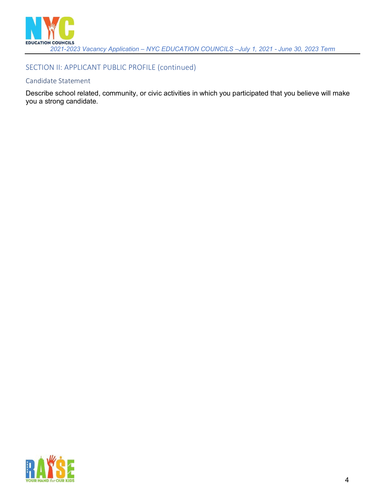

# SECTION II: APPLICANT PUBLIC PROFILE (continued)

#### Candidate Statement

Describe school related, community, or civic activities in which you participated that you believe will make you a strong candidate.

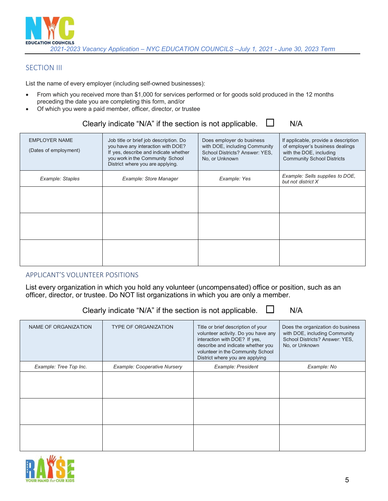# **SECTION III**

List the name of every employer (including self-owned businesses):

- From which you received more than \$1,000 for services performed or for goods sold produced in the 12 months preceding the date you are completing this form, and/or
- Of which you were a paid member, officer, director, or trustee

# Clearly indicate "N/A" if the section is not applicable.  $\Box$  N/A

| <b>EMPLOYER NAME</b><br>(Dates of employment) | Job title or brief job description. Do<br>you have any interaction with DOE?<br>If yes, describe and indicate whether<br>you work in the Community School<br>District where you are applying. | Does employer do business<br>with DOE, including Community<br>School Districts? Answer: YES,<br>No, or Unknown | If applicable, provide a description<br>of employer's business dealings<br>with the DOE, including<br><b>Community School Districts</b> |
|-----------------------------------------------|-----------------------------------------------------------------------------------------------------------------------------------------------------------------------------------------------|----------------------------------------------------------------------------------------------------------------|-----------------------------------------------------------------------------------------------------------------------------------------|
| Example: Staples                              | Example: Store Manager                                                                                                                                                                        | Example: Yes                                                                                                   | Example: Sells supplies to DOE,<br>but not district X                                                                                   |
|                                               |                                                                                                                                                                                               |                                                                                                                |                                                                                                                                         |
|                                               |                                                                                                                                                                                               |                                                                                                                |                                                                                                                                         |
|                                               |                                                                                                                                                                                               |                                                                                                                |                                                                                                                                         |

#### APPLICANT'S VOLUNTEER POSITIONS

List every organization in which you hold any volunteer (uncompensated) office or position, such as an officer, director, or trustee. Do NOT list organizations in which you are only a member.

Clearly indicate "N/A" if the section is not applicable.  $\Box$  N/A

| NAME OF ORGANIZATION   | <b>TYPE OF ORGANIZATION</b>         | Title or brief description of your<br>volunteer activity. Do you have any<br>interaction with DOE? If yes,<br>describe and indicate whether you<br>volunteer in the Community School<br>District where you are applying | Does the organization do business<br>with DOE, including Community<br>School Districts? Answer: YES,<br>No, or Unknown |  |
|------------------------|-------------------------------------|-------------------------------------------------------------------------------------------------------------------------------------------------------------------------------------------------------------------------|------------------------------------------------------------------------------------------------------------------------|--|
| Example: Tree Top Inc. | <b>Example: Cooperative Nursery</b> | <b>Example: President</b>                                                                                                                                                                                               | Example: No                                                                                                            |  |
|                        |                                     |                                                                                                                                                                                                                         |                                                                                                                        |  |
|                        |                                     |                                                                                                                                                                                                                         |                                                                                                                        |  |
|                        |                                     |                                                                                                                                                                                                                         |                                                                                                                        |  |

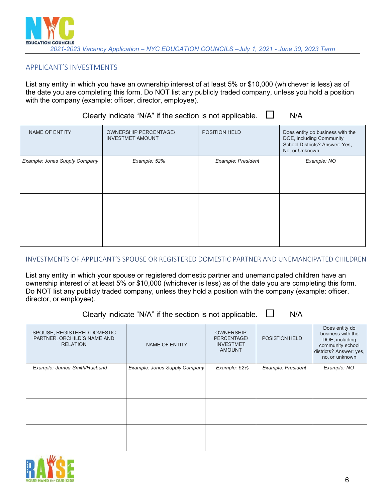

#### APPLICANT'S INVESTMENTS

List any entity in which you have an ownership interest of at least 5% or \$10,000 (whichever is less) as of the date you are completing this form. Do NOT list any publicly traded company, unless you hold a position with the company (example: officer, director, employee).

Clearly indicate "N/A" if the section is not applicable  $\Box$  N/A

| <u>etemiy interested that the modelle the there explained the state of the state of the state of the state of the state of the state of the state of the state of the state of the state of the state of the state of the state </u> |                                                         |                    |                                                                                                                  |  |  |
|--------------------------------------------------------------------------------------------------------------------------------------------------------------------------------------------------------------------------------------|---------------------------------------------------------|--------------------|------------------------------------------------------------------------------------------------------------------|--|--|
| NAME OF ENTITY                                                                                                                                                                                                                       | <b>OWNERSHIP PERCENTAGE/</b><br><b>INVESTMET AMOUNT</b> | POSITION HELD      | Does entity do business with the<br>DOE, including Community<br>School Districts? Answer: Yes,<br>No, or Unknown |  |  |
| Example: Jones Supply Company                                                                                                                                                                                                        | Example: 52%                                            | Example: President | Example: NO                                                                                                      |  |  |
|                                                                                                                                                                                                                                      |                                                         |                    |                                                                                                                  |  |  |
|                                                                                                                                                                                                                                      |                                                         |                    |                                                                                                                  |  |  |
|                                                                                                                                                                                                                                      |                                                         |                    |                                                                                                                  |  |  |

#### INVESTMENTS OF APPLICANT'S SPOUSE OR REGISTERED DOMESTIC PARTNER AND UNEMANCIPATED CHILDREN

List any entity in which your spouse or registered domestic partner and unemancipated children have an ownership interest of at least 5% or \$10,000 (whichever is less) as of the date you are completing this form. Do NOT list any publicly traded company, unless they hold a position with the company (example: officer, director, or employee).

Clearly indicate "N/A" if the section is not applicable.  $\Box$  N/A

| SPOUSE, REGISTERED DOMESTIC<br>PARTNER, ORCHILD'S NAME AND<br><b>RELATION</b> | <b>NAME OF ENTITY</b>         | <b>OWNERSHIP</b><br>PERCENTAGE/<br><b>INVESTMET</b><br><b>AMOUNT</b> | POSISTION HELD            | Does entity do<br>business with the<br>DOE, including<br>community school<br>districts? Answer: yes,<br>no, or unknown |
|-------------------------------------------------------------------------------|-------------------------------|----------------------------------------------------------------------|---------------------------|------------------------------------------------------------------------------------------------------------------------|
| Example: James Smith/Husband                                                  | Example: Jones Supply Company | Example: 52%                                                         | <b>Example: President</b> | Example: NO                                                                                                            |
|                                                                               |                               |                                                                      |                           |                                                                                                                        |
|                                                                               |                               |                                                                      |                           |                                                                                                                        |
|                                                                               |                               |                                                                      |                           |                                                                                                                        |

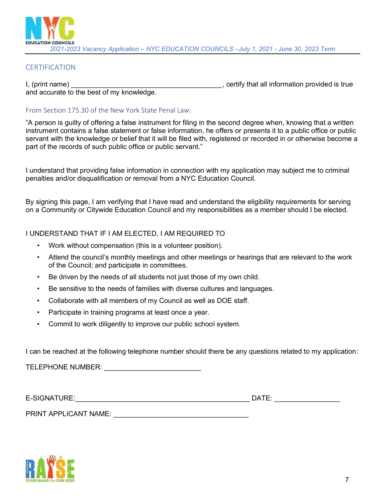

#### CERTIFICATION

I, (print name) \_\_\_\_\_\_\_\_\_\_\_\_\_\_\_\_\_\_\_\_\_\_\_\_\_\_\_\_\_\_\_\_\_\_\_\_\_\_\_, certify that all information provided is true and accurate to the best of my knowledge.

#### From Section 175.30 of the New York State Penal Law:

"A person is guilty of offering a false instrument for filing in the second degree when, knowing that a written instrument contains a false statement or false information, he offers or presents it to a public office or public servant with the knowledge or belief that it will be filed with, registered or recorded in or otherwise become a part of the records of such public office or public servant."

I understand that providing false information in connection with my application may subject me to criminal penalties and/or disqualification or removal from a NYC Education Council.

By signing this page, I am verifying that I have read and understand the eligibility requirements for serving on a Community or Citywide Education Council and my responsibilities as a member should I be elected.

#### I UNDERSTAND THAT IF I AM ELECTED, I AM REQUIRED TO

- Work without compensation (this is a volunteer position).
- Attend the council's monthly meetings and other meetings or hearings that are relevant to the work of the Council; and participate in committees.
- Be driven by the needs of all students not just those of my own child.
- Be sensitive to the needs of families with diverse cultures and languages.
- Collaborate with all members of my Council as well as DOE staff.
- Participate in training programs at least once a year.
- Commit to work diligently to improve our public school system.

I can be reached at the following telephone number should there be any questions related to my application:

TELEPHONE NUMBER:

E-SIGNATURE:\_\_\_\_\_\_\_\_\_\_\_\_\_\_\_\_\_\_\_\_\_\_\_\_\_\_\_\_\_\_\_\_\_\_\_\_\_\_\_\_\_\_\_\_\_ DATE: \_\_\_\_\_\_\_\_\_\_\_\_\_\_\_\_\_

PRINT APPLICANT NAME: \_\_\_\_\_\_\_\_\_\_\_\_\_\_\_\_\_\_\_\_\_\_\_\_\_\_\_\_\_\_\_\_\_\_\_

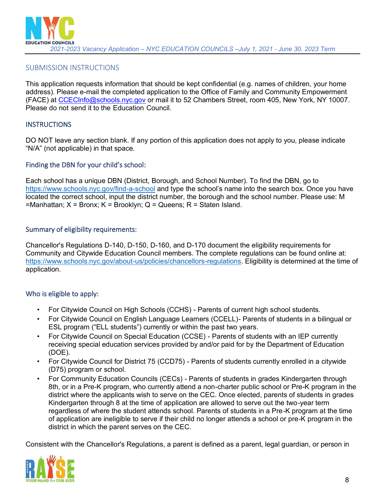# SUBMISSION INSTRUCTIONS

This application requests information that should be kept confidential (e.g. names of children, your home address). Please e-mail the completed application to the Office of Family and Community Empowerment (FACE) at [CCECInfo@schools.nyc.gov](mailto:CCECInfo@schools.nyc.gov) or mail it to 52 Chambers Street, room 405, New York, NY 10007. Please do not send it to the Education Council.

# **INSTRUCTIONS**

DO NOT leave any section blank. If any portion of this application does not apply to you, please indicate "N/A" (not applicable) in that space.

# Finding the DBN for your child's school:

Each school has a unique DBN (District, Borough, and School Number). To find the DBN, go to <https://www.schools.nyc.gov/find-a-school> and type the school's name into the search box. Once you have located the correct school, input the district number, the borough and the school number. Please use: M  $=$ Manhattan;  $X =$  Bronx;  $K =$  Brooklyn;  $Q =$  Queens;  $R =$  Staten Island.

# Summary of eligibility requirements:

Chancellor's Regulations D-140, D-150, D-160, and D-170 document the eligibility requirements for Community and Citywide Education Council members. The complete regulations can be found online at: [https://www.schools.nyc.gov/about-us/policies/chancellors-regulations.](https://www.schools.nyc.gov/about-us/policies/chancellors-regulations) Eligibility is determined at the time of application.

# Who is eligible to apply:

- For Citywide Council on High Schools (CCHS) Parents of current high school students.
- For Citywide Council on English Language Learners (CCELL)- Parents of students in a bilingual or ESL program ("ELL students") currently or within the past two years.
- For Citywide Council on Special Education (CCSE) Parents of students with an IEP currently receiving special education services provided by and/or paid for by the Department of Education (DOE).
- For Citywide Council for District 75 (CCD75) Parents of students currently enrolled in a citywide (D75) program or school.
- For Community Education Councils (CECs) Parents of students in grades Kindergarten through 8th, or in a Pre-K program, who currently attend a non-charter public school or Pre-K program in the district where the applicants wish to serve on the CEC. Once elected, parents of students in grades Kindergarten through 8 at the time of application are allowed to serve out the two-year term regardless of where the student attends school. Parents of students in a Pre-K program at the time of application are ineligible to serve if their child no longer attends a school or pre-K program in the district in which the parent serves on the CEC.

Consistent with the Chancellor's Regulations, a parent is defined as a parent, legal guardian, or person in